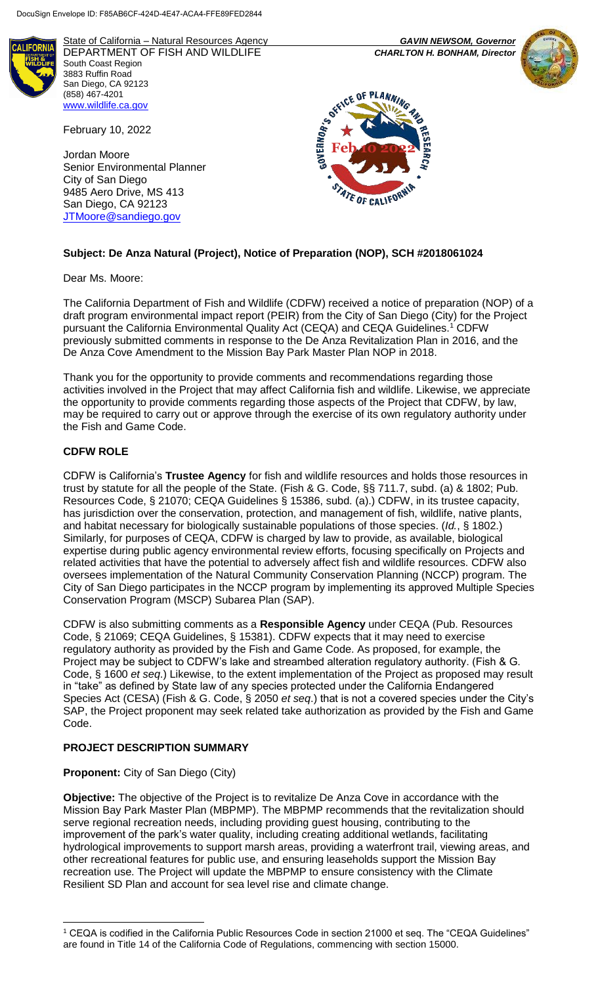

State of California – Natural Resources Agency *GAVIN NEWSOM, Governor* DEPARTMENT OF FISH AND WILDLIFE *CHARLTON H. BONHAM, Director*  South Coast Region 3883 Ruffin Road San Diego, CA 92123 (858) 467-4201 [www.wildlife.ca.gov](http://www.wildlife.ca.gov/)

February 10, 2022

Jordan Moore Senior Environmental Planner City of San Diego 9485 Aero Drive, MS 413 San Diego, CA 92123 [JTMoore@sandiego.gov](mailto:JTMoore@sandiego.gov)





# **Subject: De Anza Natural (Project), Notice of Preparation (NOP), SCH #2018061024**

Dear Ms. Moore:

The California Department of Fish and Wildlife (CDFW) received a notice of preparation (NOP) of a draft program environmental impact report (PEIR) from the City of San Diego (City) for the Project pursuant the California Environmental Quality Act (CEQA) and CEQA Guidelines.<sup>1</sup> CDFW previously submitted comments in response to the De Anza Revitalization Plan in 2016, and the De Anza Cove Amendment to the Mission Bay Park Master Plan NOP in 2018.

Thank you for the opportunity to provide comments and recommendations regarding those activities involved in the Project that may affect California fish and wildlife. Likewise, we appreciate the opportunity to provide comments regarding those aspects of the Project that CDFW, by law, may be required to carry out or approve through the exercise of its own regulatory authority under the Fish and Game Code.

## **CDFW ROLE**

CDFW is California's **Trustee Agency** for fish and wildlife resources and holds those resources in trust by statute for all the people of the State. (Fish & G. Code, §§ 711.7, subd. (a) & 1802; Pub. Resources Code, § 21070; CEQA Guidelines § 15386, subd. (a).) CDFW, in its trustee capacity, has jurisdiction over the conservation, protection, and management of fish, wildlife, native plants, and habitat necessary for biologically sustainable populations of those species. (*Id.*, § 1802.) Similarly, for purposes of CEQA, CDFW is charged by law to provide, as available, biological expertise during public agency environmental review efforts, focusing specifically on Projects and related activities that have the potential to adversely affect fish and wildlife resources. CDFW also oversees implementation of the Natural Community Conservation Planning (NCCP) program. The City of San Diego participates in the NCCP program by implementing its approved Multiple Species Conservation Program (MSCP) Subarea Plan (SAP).

CDFW is also submitting comments as a **Responsible Agency** under CEQA (Pub. Resources Code, § 21069; CEQA Guidelines, § 15381). CDFW expects that it may need to exercise regulatory authority as provided by the Fish and Game Code. As proposed, for example, the Project may be subject to CDFW's lake and streambed alteration regulatory authority. (Fish & G. Code, § 1600 *et seq*.) Likewise, to the extent implementation of the Project as proposed may result in "take" as defined by State law of any species protected under the California Endangered Species Act (CESA) (Fish & G. Code, § 2050 *et seq*.) that is not a covered species under the City's SAP, the Project proponent may seek related take authorization as provided by the Fish and Game Code.

## **PROJECT DESCRIPTION SUMMARY**

## **Proponent:** City of San Diego (City)

l

**Objective:** The objective of the Project is to revitalize De Anza Cove in accordance with the Mission Bay Park Master Plan (MBPMP). The MBPMP recommends that the revitalization should serve regional recreation needs, including providing guest housing, contributing to the improvement of the park's water quality, including creating additional wetlands, facilitating hydrological improvements to support marsh areas, providing a waterfront trail, viewing areas, and other recreational features for public use, and ensuring leaseholds support the Mission Bay recreation use. The Project will update the MBPMP to ensure consistency with the Climate Resilient SD Plan and account for sea level rise and climate change.

<sup>1</sup> CEQA is codified in the California Public Resources Code in section 21000 et seq. The "CEQA Guidelines" are found in Title 14 of the California Code of Regulations, commencing with section 15000.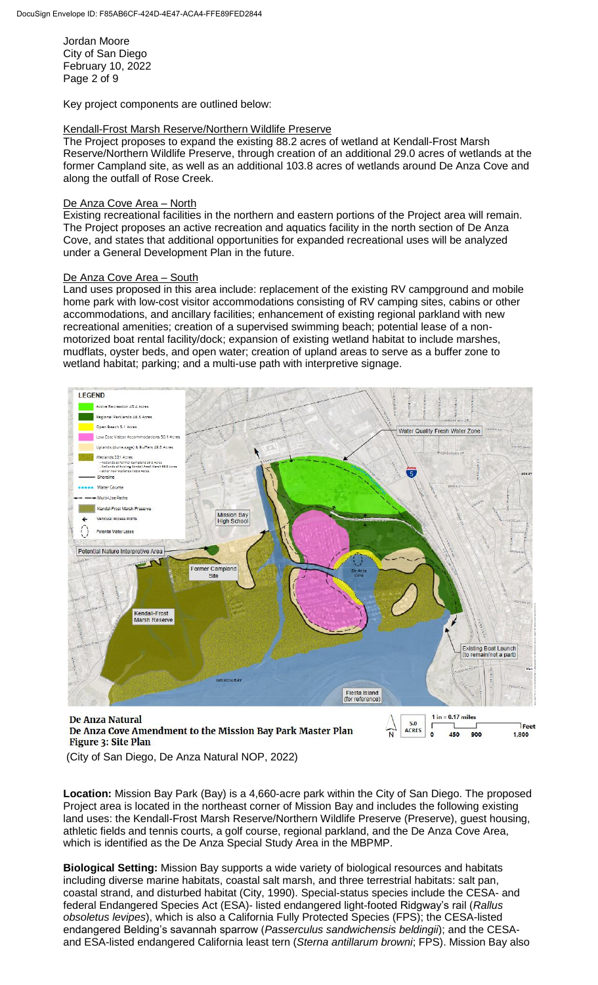Jordan Moore City of San Diego February 10, 2022 Page 2 of 9

Key project components are outlined below:

#### Kendall-Frost Marsh Reserve/Northern Wildlife Preserve

The Project proposes to expand the existing 88.2 acres of wetland at Kendall-Frost Marsh Reserve/Northern Wildlife Preserve, through creation of an additional 29.0 acres of wetlands at the former Campland site, as well as an additional 103.8 acres of wetlands around De Anza Cove and along the outfall of Rose Creek.

#### De Anza Cove Area – North

Existing recreational facilities in the northern and eastern portions of the Project area will remain. The Project proposes an active recreation and aquatics facility in the north section of De Anza Cove, and states that additional opportunities for expanded recreational uses will be analyzed under a General Development Plan in the future.

#### De Anza Cove Area - South

Land uses proposed in this area include: replacement of the existing RV campground and mobile home park with low-cost visitor accommodations consisting of RV camping sites, cabins or other accommodations, and ancillary facilities; enhancement of existing regional parkland with new recreational amenities; creation of a supervised swimming beach; potential lease of a nonmotorized boat rental facility/dock; expansion of existing wetland habitat to include marshes, mudflats, oyster beds, and open water; creation of upland areas to serve as a buffer zone to wetland habitat; parking; and a multi-use path with interpretive signage.



De Anza Cove Amendment to the Mission Bay Park Master Plan Figure 3: Site Plan



(City of San Diego, De Anza Natural NOP, 2022)

**Location:** Mission Bay Park (Bay) is a 4,660-acre park within the City of San Diego. The proposed Project area is located in the northeast corner of Mission Bay and includes the following existing land uses: the Kendall-Frost Marsh Reserve/Northern Wildlife Preserve (Preserve), guest housing, athletic fields and tennis courts, a golf course, regional parkland, and the De Anza Cove Area, which is identified as the De Anza Special Study Area in the MBPMP.

**Biological Setting:** Mission Bay supports a wide variety of biological resources and habitats including diverse marine habitats, coastal salt marsh, and three terrestrial habitats: salt pan, coastal strand, and disturbed habitat (City, 1990). Special-status species include the CESA- and federal Endangered Species Act (ESA)- listed endangered light-footed Ridgway's rail (*Rallus obsoletus levipes*), which is also a California Fully Protected Species (FPS); the CESA-listed endangered Belding's savannah sparrow (*Passerculus sandwichensis beldingii*); and the CESAand ESA-listed endangered California least tern (*Sterna antillarum browni*; FPS). Mission Bay also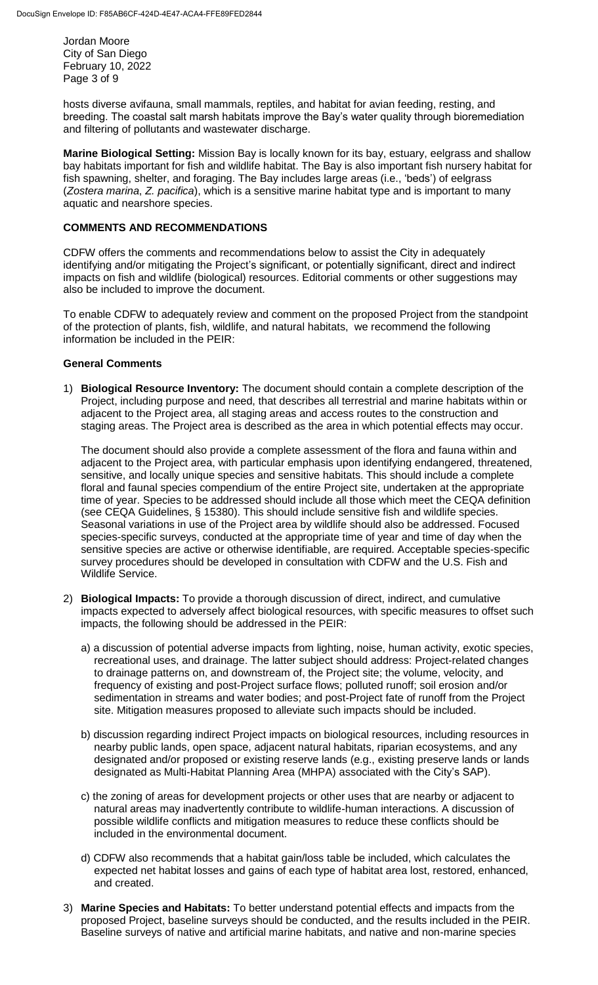Jordan Moore City of San Diego February 10, 2022 Page 3 of 9

hosts diverse avifauna, small mammals, reptiles, and habitat for avian feeding, resting, and breeding. The coastal salt marsh habitats improve the Bay's water quality through bioremediation and filtering of pollutants and wastewater discharge.

**Marine Biological Setting:** Mission Bay is locally known for its bay, estuary, eelgrass and shallow bay habitats important for fish and wildlife habitat. The Bay is also important fish nursery habitat for fish spawning, shelter, and foraging. The Bay includes large areas (i.e., 'beds') of eelgrass (*Zostera marina*, *Z. pacifica*), which is a sensitive marine habitat type and is important to many aquatic and nearshore species.

### **COMMENTS AND RECOMMENDATIONS**

CDFW offers the comments and recommendations below to assist the City in adequately identifying and/or mitigating the Project's significant, or potentially significant, direct and indirect impacts on fish and wildlife (biological) resources. Editorial comments or other suggestions may also be included to improve the document.

To enable CDFW to adequately review and comment on the proposed Project from the standpoint of the protection of plants, fish, wildlife, and natural habitats, we recommend the following information be included in the PEIR:

#### **General Comments**

1) **Biological Resource Inventory:** The document should contain a complete description of the Project, including purpose and need, that describes all terrestrial and marine habitats within or adjacent to the Project area, all staging areas and access routes to the construction and staging areas. The Project area is described as the area in which potential effects may occur.

The document should also provide a complete assessment of the flora and fauna within and adjacent to the Project area, with particular emphasis upon identifying endangered, threatened, sensitive, and locally unique species and sensitive habitats. This should include a complete floral and faunal species compendium of the entire Project site, undertaken at the appropriate time of year. Species to be addressed should include all those which meet the CEQA definition (see CEQA Guidelines, § 15380). This should include sensitive fish and wildlife species. Seasonal variations in use of the Project area by wildlife should also be addressed. Focused species-specific surveys, conducted at the appropriate time of year and time of day when the sensitive species are active or otherwise identifiable, are required. Acceptable species-specific survey procedures should be developed in consultation with CDFW and the U.S. Fish and Wildlife Service.

- 2) **Biological Impacts:** To provide a thorough discussion of direct, indirect, and cumulative impacts expected to adversely affect biological resources, with specific measures to offset such impacts, the following should be addressed in the PEIR:
	- a) a discussion of potential adverse impacts from lighting, noise, human activity, exotic species, recreational uses, and drainage. The latter subject should address: Project-related changes to drainage patterns on, and downstream of, the Project site; the volume, velocity, and frequency of existing and post-Project surface flows; polluted runoff; soil erosion and/or sedimentation in streams and water bodies; and post-Project fate of runoff from the Project site. Mitigation measures proposed to alleviate such impacts should be included.
	- b) discussion regarding indirect Project impacts on biological resources, including resources in nearby public lands, open space, adjacent natural habitats, riparian ecosystems, and any designated and/or proposed or existing reserve lands (e.g., existing preserve lands or lands designated as Multi-Habitat Planning Area (MHPA) associated with the City's SAP).
	- c) the zoning of areas for development projects or other uses that are nearby or adjacent to natural areas may inadvertently contribute to wildlife-human interactions. A discussion of possible wildlife conflicts and mitigation measures to reduce these conflicts should be included in the environmental document.
	- d) CDFW also recommends that a habitat gain/loss table be included, which calculates the expected net habitat losses and gains of each type of habitat area lost, restored, enhanced, and created.
- 3) **Marine Species and Habitats:** To better understand potential effects and impacts from the proposed Project, baseline surveys should be conducted, and the results included in the PEIR. Baseline surveys of native and artificial marine habitats, and native and non-marine species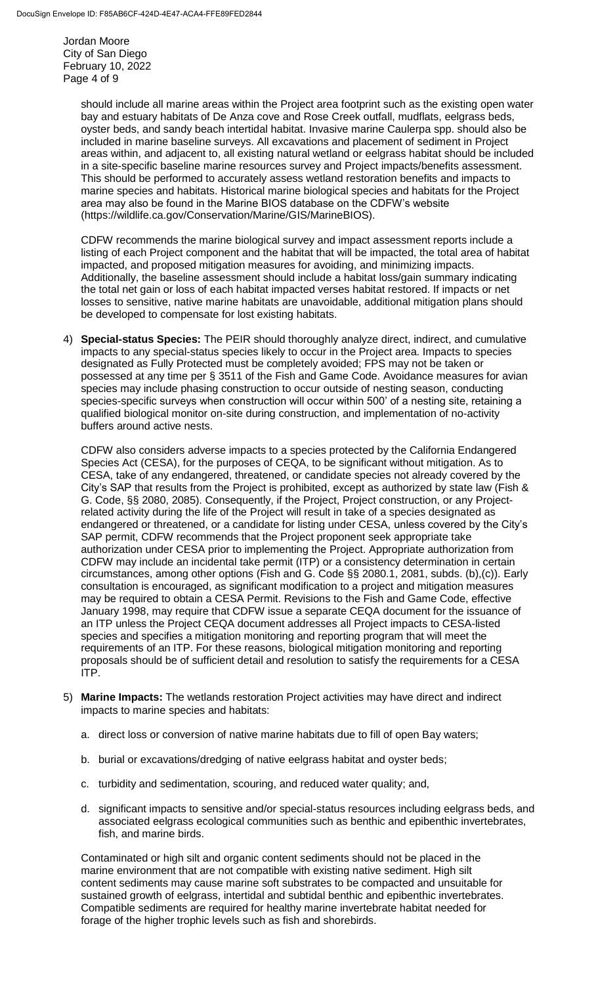Jordan Moore City of San Diego February 10, 2022 Page 4 of 9

> should include all marine areas within the Project area footprint such as the existing open water bay and estuary habitats of De Anza cove and Rose Creek outfall, mudflats, eelgrass beds, oyster beds, and sandy beach intertidal habitat. Invasive marine Caulerpa spp. should also be included in marine baseline surveys. All excavations and placement of sediment in Project areas within, and adjacent to, all existing natural wetland or eelgrass habitat should be included in a site-specific baseline marine resources survey and Project impacts/benefits assessment. This should be performed to accurately assess wetland restoration benefits and impacts to marine species and habitats. Historical marine biological species and habitats for the Project area may also be found in the Marine BIOS database on the CDFW's website (https://wildlife.ca.gov/Conservation/Marine/GIS/MarineBIOS).

CDFW recommends the marine biological survey and impact assessment reports include a listing of each Project component and the habitat that will be impacted, the total area of habitat impacted, and proposed mitigation measures for avoiding, and minimizing impacts. Additionally, the baseline assessment should include a habitat loss/gain summary indicating the total net gain or loss of each habitat impacted verses habitat restored. If impacts or net losses to sensitive, native marine habitats are unavoidable, additional mitigation plans should be developed to compensate for lost existing habitats.

4) **Special-status Species:** The PEIR should thoroughly analyze direct, indirect, and cumulative impacts to any special-status species likely to occur in the Project area. Impacts to species designated as Fully Protected must be completely avoided; FPS may not be taken or possessed at any time per § 3511 of the Fish and Game Code. Avoidance measures for avian species may include phasing construction to occur outside of nesting season, conducting species-specific surveys when construction will occur within 500' of a nesting site, retaining a qualified biological monitor on-site during construction, and implementation of no-activity buffers around active nests.

CDFW also considers adverse impacts to a species protected by the California Endangered Species Act (CESA), for the purposes of CEQA, to be significant without mitigation. As to CESA, take of any endangered, threatened, or candidate species not already covered by the City's SAP that results from the Project is prohibited, except as authorized by state law (Fish & G. Code, §§ 2080, 2085). Consequently, if the Project, Project construction, or any Projectrelated activity during the life of the Project will result in take of a species designated as endangered or threatened, or a candidate for listing under CESA, unless covered by the City's SAP permit, CDFW recommends that the Project proponent seek appropriate take authorization under CESA prior to implementing the Project. Appropriate authorization from CDFW may include an incidental take permit (ITP) or a consistency determination in certain circumstances, among other options (Fish and G. Code §§ 2080.1, 2081, subds. (b),(c)). Early consultation is encouraged, as significant modification to a project and mitigation measures may be required to obtain a CESA Permit. Revisions to the Fish and Game Code, effective January 1998, may require that CDFW issue a separate CEQA document for the issuance of an ITP unless the Project CEQA document addresses all Project impacts to CESA-listed species and specifies a mitigation monitoring and reporting program that will meet the requirements of an ITP. For these reasons, biological mitigation monitoring and reporting proposals should be of sufficient detail and resolution to satisfy the requirements for a CESA ITP.

- 5) **Marine Impacts:** The wetlands restoration Project activities may have direct and indirect impacts to marine species and habitats:
	- a. direct loss or conversion of native marine habitats due to fill of open Bay waters;
	- b. burial or excavations/dredging of native eelgrass habitat and oyster beds;
	- c. turbidity and sedimentation, scouring, and reduced water quality; and,
	- d. significant impacts to sensitive and/or special-status resources including eelgrass beds, and associated eelgrass ecological communities such as benthic and epibenthic invertebrates, fish, and marine birds.

Contaminated or high silt and organic content sediments should not be placed in the marine environment that are not compatible with existing native sediment. High silt content sediments may cause marine soft substrates to be compacted and unsuitable for sustained growth of eelgrass, intertidal and subtidal benthic and epibenthic invertebrates. Compatible sediments are required for healthy marine invertebrate habitat needed for forage of the higher trophic levels such as fish and shorebirds.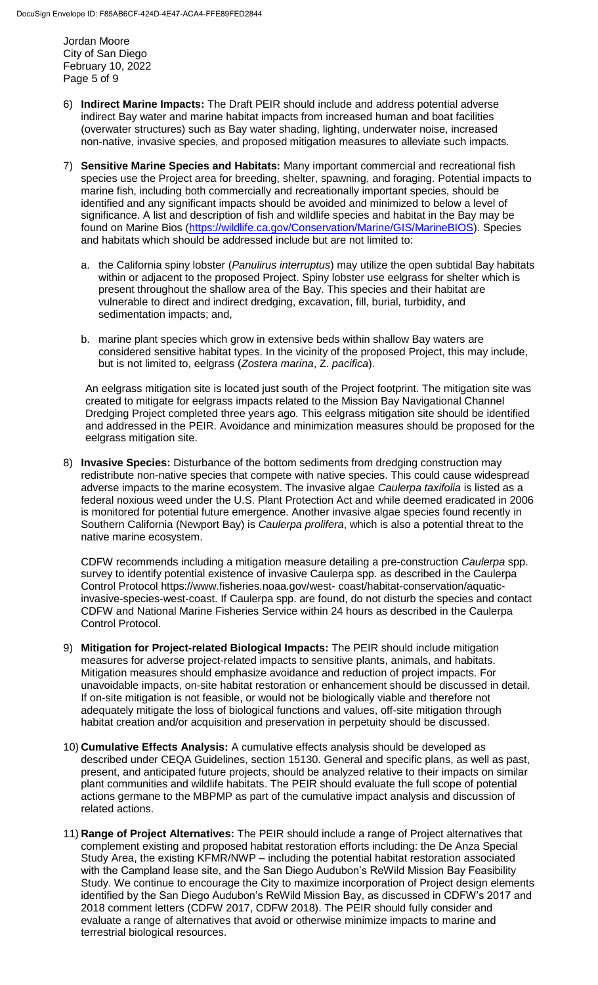Jordan Moore City of San Diego February 10, 2022 Page 5 of 9

- 6) **Indirect Marine Impacts:** The Draft PEIR should include and address potential adverse indirect Bay water and marine habitat impacts from increased human and boat facilities (overwater structures) such as Bay water shading, lighting, underwater noise, increased non-native, invasive species, and proposed mitigation measures to alleviate such impacts.
- 7) **Sensitive Marine Species and Habitats:** Many important commercial and recreational fish species use the Project area for breeding, shelter, spawning, and foraging. Potential impacts to marine fish, including both commercially and recreationally important species, should be identified and any significant impacts should be avoided and minimized to below a level of significance. A list and description of fish and wildlife species and habitat in the Bay may be found on Marine Bios [\(https://wildlife.ca.gov/Conservation/Marine/GIS/MarineBIOS\)](https://wildlife.ca.gov/Conservation/Marine/GIS/MarineBIOS). Species and habitats which should be addressed include but are not limited to:
	- a. the California spiny lobster (*Panulirus interruptus*) may utilize the open subtidal Bay habitats within or adjacent to the proposed Project. Spiny lobster use eelgrass for shelter which is present throughout the shallow area of the Bay. This species and their habitat are vulnerable to direct and indirect dredging, excavation, fill, burial, turbidity, and sedimentation impacts; and,
	- b. marine plant species which grow in extensive beds within shallow Bay waters are considered sensitive habitat types. In the vicinity of the proposed Project, this may include, but is not limited to, eelgrass (*Zostera marina*, Z. *pacifica*).

An eelgrass mitigation site is located just south of the Project footprint. The mitigation site was created to mitigate for eelgrass impacts related to the Mission Bay Navigational Channel Dredging Project completed three years ago. This eelgrass mitigation site should be identified and addressed in the PEIR. Avoidance and minimization measures should be proposed for the eelgrass mitigation site.

8) **Invasive Species:** Disturbance of the bottom sediments from dredging construction may redistribute non-native species that compete with native species. This could cause widespread adverse impacts to the marine ecosystem. The invasive algae *Caulerpa taxifolia* is listed as a federal noxious weed under the U.S. Plant Protection Act and while deemed eradicated in 2006 is monitored for potential future emergence. Another invasive algae species found recently in Southern California (Newport Bay) is *Caulerpa prolifera*, which is also a potential threat to the native marine ecosystem.

CDFW recommends including a mitigation measure detailing a pre-construction *Caulerpa* spp. survey to identify potential existence of invasive Caulerpa spp. as described in the Caulerpa Control Protocol https://www.fisheries.noaa.gov/west- coast/habitat-conservation/aquaticinvasive-species-west-coast. If Caulerpa spp. are found, do not disturb the species and contact CDFW and National Marine Fisheries Service within 24 hours as described in the Caulerpa Control Protocol.

- 9) **Mitigation for Project-related Biological Impacts:** The PEIR should include mitigation measures for adverse project-related impacts to sensitive plants, animals, and habitats. Mitigation measures should emphasize avoidance and reduction of project impacts. For unavoidable impacts, on-site habitat restoration or enhancement should be discussed in detail. If on-site mitigation is not feasible, or would not be biologically viable and therefore not adequately mitigate the loss of biological functions and values, off-site mitigation through habitat creation and/or acquisition and preservation in perpetuity should be discussed.
- 10) **Cumulative Effects Analysis:** A cumulative effects analysis should be developed as described under CEQA Guidelines, section 15130. General and specific plans, as well as past, present, and anticipated future projects, should be analyzed relative to their impacts on similar plant communities and wildlife habitats. The PEIR should evaluate the full scope of potential actions germane to the MBPMP as part of the cumulative impact analysis and discussion of related actions.
- 11) **Range of Project Alternatives:** The PEIR should include a range of Project alternatives that complement existing and proposed habitat restoration efforts including: the De Anza Special Study Area, the existing KFMR/NWP – including the potential habitat restoration associated with the Campland lease site, and the San Diego Audubon's ReWild Mission Bay Feasibility Study. We continue to encourage the City to maximize incorporation of Project design elements identified by the San Diego Audubon's ReWild Mission Bay, as discussed in CDFW's 2017 and 2018 comment letters (CDFW 2017, CDFW 2018). The PEIR should fully consider and evaluate a range of alternatives that avoid or otherwise minimize impacts to marine and terrestrial biological resources.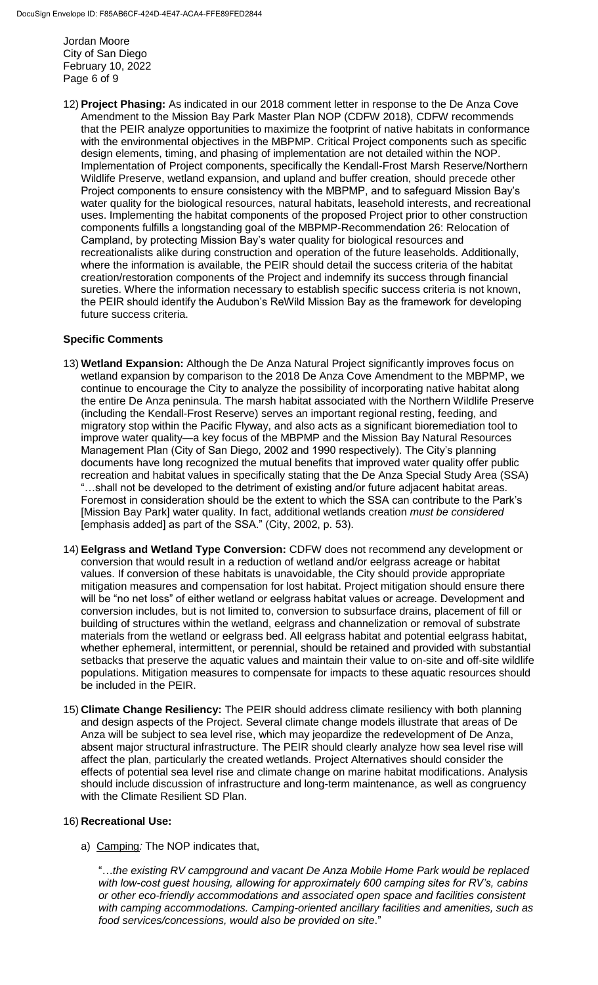Jordan Moore City of San Diego February 10, 2022 Page 6 of 9

12) **Project Phasing:** As indicated in our 2018 comment letter in response to the De Anza Cove Amendment to the Mission Bay Park Master Plan NOP (CDFW 2018), CDFW recommends that the PEIR analyze opportunities to maximize the footprint of native habitats in conformance with the environmental objectives in the MBPMP. Critical Project components such as specific design elements, timing, and phasing of implementation are not detailed within the NOP. Implementation of Project components, specifically the Kendall-Frost Marsh Reserve/Northern Wildlife Preserve, wetland expansion, and upland and buffer creation, should precede other Project components to ensure consistency with the MBPMP, and to safeguard Mission Bay's water quality for the biological resources, natural habitats, leasehold interests, and recreational uses. Implementing the habitat components of the proposed Project prior to other construction components fulfills a longstanding goal of the MBPMP-Recommendation 26: Relocation of Campland, by protecting Mission Bay's water quality for biological resources and recreationalists alike during construction and operation of the future leaseholds. Additionally, where the information is available, the PEIR should detail the success criteria of the habitat creation/restoration components of the Project and indemnify its success through financial sureties. Where the information necessary to establish specific success criteria is not known, the PEIR should identify the Audubon's ReWild Mission Bay as the framework for developing future success criteria.

## **Specific Comments**

- 13) **Wetland Expansion:** Although the De Anza Natural Project significantly improves focus on wetland expansion by comparison to the 2018 De Anza Cove Amendment to the MBPMP, we continue to encourage the City to analyze the possibility of incorporating native habitat along the entire De Anza peninsula. The marsh habitat associated with the Northern Wildlife Preserve (including the Kendall-Frost Reserve) serves an important regional resting, feeding, and migratory stop within the Pacific Flyway, and also acts as a significant bioremediation tool to improve water quality—a key focus of the MBPMP and the Mission Bay Natural Resources Management Plan (City of San Diego, 2002 and 1990 respectively). The City's planning documents have long recognized the mutual benefits that improved water quality offer public recreation and habitat values in specifically stating that the De Anza Special Study Area (SSA) ...shall not be developed to the detriment of existing and/or future adjacent habitat areas. Foremost in consideration should be the extent to which the SSA can contribute to the Park's [Mission Bay Park] water quality. In fact, additional wetlands creation *must be considered*  [emphasis added] as part of the SSA." (City, 2002, p. 53).
- 14) **Eelgrass and Wetland Type Conversion:** CDFW does not recommend any development or conversion that would result in a reduction of wetland and/or eelgrass acreage or habitat values. If conversion of these habitats is unavoidable, the City should provide appropriate mitigation measures and compensation for lost habitat. Project mitigation should ensure there will be "no net loss" of either wetland or eelgrass habitat values or acreage. Development and conversion includes, but is not limited to, conversion to subsurface drains, placement of fill or building of structures within the wetland, eelgrass and channelization or removal of substrate materials from the wetland or eelgrass bed. All eelgrass habitat and potential eelgrass habitat, whether ephemeral, intermittent, or perennial, should be retained and provided with substantial setbacks that preserve the aquatic values and maintain their value to on-site and off-site wildlife populations. Mitigation measures to compensate for impacts to these aquatic resources should be included in the PEIR.
- 15) **Climate Change Resiliency:** The PEIR should address climate resiliency with both planning and design aspects of the Project. Several climate change models illustrate that areas of De Anza will be subject to sea level rise, which may jeopardize the redevelopment of De Anza, absent major structural infrastructure. The PEIR should clearly analyze how sea level rise will affect the plan, particularly the created wetlands. Project Alternatives should consider the effects of potential sea level rise and climate change on marine habitat modifications. Analysis should include discussion of infrastructure and long-term maintenance, as well as congruency with the Climate Resilient SD Plan.

## 16) **Recreational Use:**

a) Camping*:* The NOP indicates that,

"…*the existing RV campground and vacant De Anza Mobile Home Park would be replaced with low-cost guest housing, allowing for approximately 600 camping sites for RV's, cabins or other eco-friendly accommodations and associated open space and facilities consistent with camping accommodations. Camping-oriented ancillary facilities and amenities, such as food services/concessions, would also be provided on site*."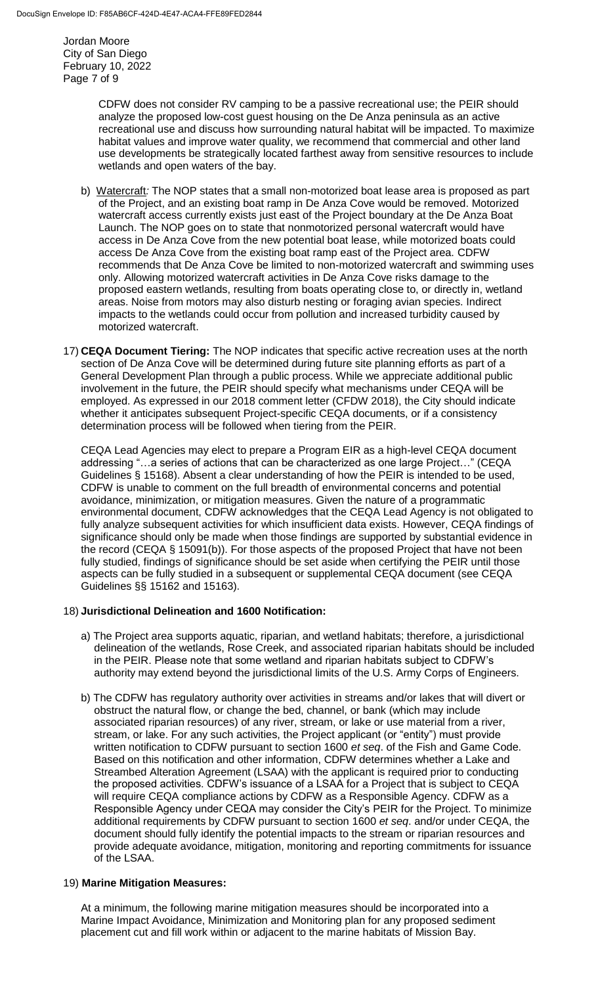Jordan Moore City of San Diego February 10, 2022 Page 7 of 9

> CDFW does not consider RV camping to be a passive recreational use; the PEIR should analyze the proposed low-cost guest housing on the De Anza peninsula as an active recreational use and discuss how surrounding natural habitat will be impacted. To maximize habitat values and improve water quality, we recommend that commercial and other land use developments be strategically located farthest away from sensitive resources to include wetlands and open waters of the bay.

- b) Watercraft*:* The NOP states that a small non-motorized boat lease area is proposed as part of the Project, and an existing boat ramp in De Anza Cove would be removed. Motorized watercraft access currently exists just east of the Project boundary at the De Anza Boat Launch. The NOP goes on to state that nonmotorized personal watercraft would have access in De Anza Cove from the new potential boat lease, while motorized boats could access De Anza Cove from the existing boat ramp east of the Project area. CDFW recommends that De Anza Cove be limited to non-motorized watercraft and swimming uses only. Allowing motorized watercraft activities in De Anza Cove risks damage to the proposed eastern wetlands, resulting from boats operating close to, or directly in, wetland areas. Noise from motors may also disturb nesting or foraging avian species. Indirect impacts to the wetlands could occur from pollution and increased turbidity caused by motorized watercraft.
- 17) **CEQA Document Tiering:** The NOP indicates that specific active recreation uses at the north section of De Anza Cove will be determined during future site planning efforts as part of a General Development Plan through a public process. While we appreciate additional public involvement in the future, the PEIR should specify what mechanisms under CEQA will be employed. As expressed in our 2018 comment letter (CFDW 2018), the City should indicate whether it anticipates subsequent Project-specific CEQA documents, or if a consistency determination process will be followed when tiering from the PEIR.

CEQA Lead Agencies may elect to prepare a Program EIR as a high-level CEQA document addressing "…a series of actions that can be characterized as one large Project…" (CEQA Guidelines § 15168). Absent a clear understanding of how the PEIR is intended to be used, CDFW is unable to comment on the full breadth of environmental concerns and potential avoidance, minimization, or mitigation measures. Given the nature of a programmatic environmental document, CDFW acknowledges that the CEQA Lead Agency is not obligated to fully analyze subsequent activities for which insufficient data exists. However, CEQA findings of significance should only be made when those findings are supported by substantial evidence in the record (CEQA § 15091(b)). For those aspects of the proposed Project that have not been fully studied, findings of significance should be set aside when certifying the PEIR until those aspects can be fully studied in a subsequent or supplemental CEQA document (see CEQA Guidelines §§ 15162 and 15163).

## 18) **Jurisdictional Delineation and 1600 Notification:**

- a) The Project area supports aquatic, riparian, and wetland habitats; therefore, a jurisdictional delineation of the wetlands, Rose Creek, and associated riparian habitats should be included in the PEIR. Please note that some wetland and riparian habitats subject to CDFW's authority may extend beyond the jurisdictional limits of the U.S. Army Corps of Engineers.
- b) The CDFW has regulatory authority over activities in streams and/or lakes that will divert or obstruct the natural flow, or change the bed, channel, or bank (which may include associated riparian resources) of any river, stream, or lake or use material from a river, stream, or lake. For any such activities, the Project applicant (or "entity") must provide written notification to CDFW pursuant to section 1600 *et seq*. of the Fish and Game Code. Based on this notification and other information, CDFW determines whether a Lake and Streambed Alteration Agreement (LSAA) with the applicant is required prior to conducting the proposed activities. CDFW's issuance of a LSAA for a Project that is subject to CEQA will require CEQA compliance actions by CDFW as a Responsible Agency. CDFW as a Responsible Agency under CEQA may consider the City's PEIR for the Project. To minimize additional requirements by CDFW pursuant to section 1600 *et seq*. and/or under CEQA, the document should fully identify the potential impacts to the stream or riparian resources and provide adequate avoidance, mitigation, monitoring and reporting commitments for issuance of the LSAA.

## 19) **Marine Mitigation Measures:**

At a minimum, the following marine mitigation measures should be incorporated into a Marine Impact Avoidance, Minimization and Monitoring plan for any proposed sediment placement cut and fill work within or adjacent to the marine habitats of Mission Bay.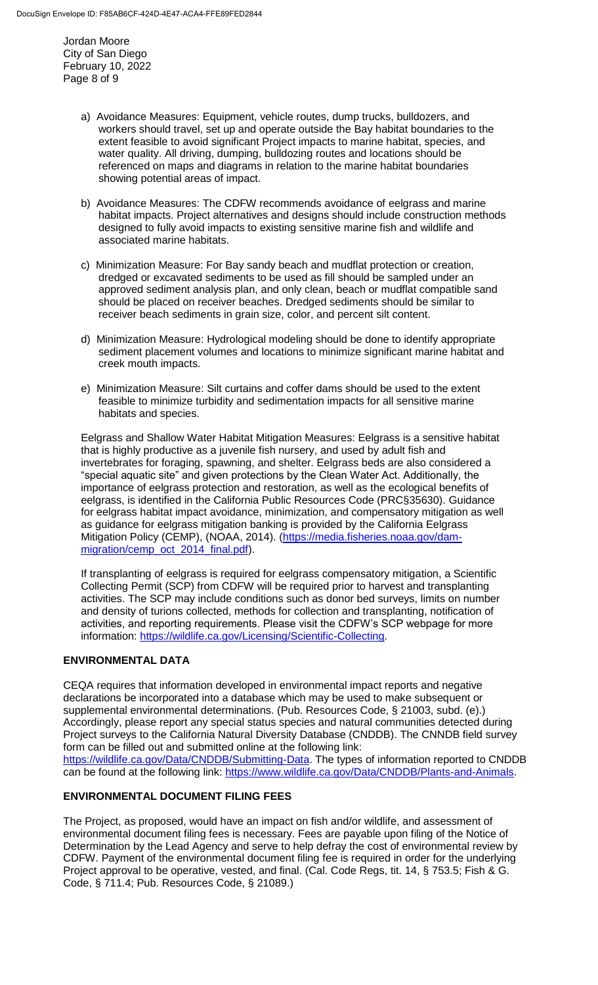Jordan Moore City of San Diego February 10, 2022 Page 8 of 9

- a) Avoidance Measures: Equipment, vehicle routes, dump trucks, bulldozers, and workers should travel, set up and operate outside the Bay habitat boundaries to the extent feasible to avoid significant Project impacts to marine habitat, species, and water quality. All driving, dumping, bulldozing routes and locations should be referenced on maps and diagrams in relation to the marine habitat boundaries showing potential areas of impact.
- b) Avoidance Measures: The CDFW recommends avoidance of eelgrass and marine habitat impacts. Project alternatives and designs should include construction methods designed to fully avoid impacts to existing sensitive marine fish and wildlife and associated marine habitats.
- c) Minimization Measure: For Bay sandy beach and mudflat protection or creation, dredged or excavated sediments to be used as fill should be sampled under an approved sediment analysis plan, and only clean, beach or mudflat compatible sand should be placed on receiver beaches. Dredged sediments should be similar to receiver beach sediments in grain size, color, and percent silt content.
- d) Minimization Measure: Hydrological modeling should be done to identify appropriate sediment placement volumes and locations to minimize significant marine habitat and creek mouth impacts.
- e) Minimization Measure: Silt curtains and coffer dams should be used to the extent feasible to minimize turbidity and sedimentation impacts for all sensitive marine habitats and species.

Eelgrass and Shallow Water Habitat Mitigation Measures: Eelgrass is a sensitive habitat that is highly productive as a juvenile fish nursery, and used by adult fish and invertebrates for foraging, spawning, and shelter. Eelgrass beds are also considered a "special aquatic site" and given protections by the Clean Water Act. Additionally, the importance of eelgrass protection and restoration, as well as the ecological benefits of eelgrass, is identified in the California Public Resources Code (PRC§35630). Guidance for eelgrass habitat impact avoidance, minimization, and compensatory mitigation as well as guidance for eelgrass mitigation banking is provided by the California Eelgrass Mitigation Policy (CEMP), (NOAA, 2014). [\(https://media.fisheries.noaa.gov/dam](https://media.fisheries.noaa.gov/dam-migration/cemp_oct_2014_final.pdf)[migration/cemp\\_oct\\_2014\\_final.pdf\)](https://media.fisheries.noaa.gov/dam-migration/cemp_oct_2014_final.pdf).

If transplanting of eelgrass is required for eelgrass compensatory mitigation, a Scientific Collecting Permit (SCP) from CDFW will be required prior to harvest and transplanting activities. The SCP may include conditions such as donor bed surveys, limits on number and density of turions collected, methods for collection and transplanting, notification of activities, and reporting requirements. Please visit the CDFW's SCP webpage for more information: [https://wildlife.ca.gov/Licensing/Scientific-Collecting.](https://wildlife.ca.gov/Licensing/Scientific-Collecting)

## **ENVIRONMENTAL DATA**

CEQA requires that information developed in environmental impact reports and negative declarations be incorporated into a database which may be used to make subsequent or supplemental environmental determinations. (Pub. Resources Code, § 21003, subd. (e).) Accordingly, please report any special status species and natural communities detected during Project surveys to the California Natural Diversity Database (CNDDB). The CNNDB field survey form can be filled out and submitted online at the following link: [https://wildlife.ca.gov/Data/CNDDB/Submitting-Data.](https://wildlife.ca.gov/Data/CNDDB/Submitting-Data) The types of information reported to CNDDB

can be found at the following link: [https://www.wildlife.ca.gov/Data/CNDDB/Plants-and-Animals.](https://www.wildlife.ca.gov/Data/CNDDB/Plants-and-Animals)

## **ENVIRONMENTAL DOCUMENT FILING FEES**

The Project, as proposed, would have an impact on fish and/or wildlife, and assessment of environmental document filing fees is necessary. Fees are payable upon filing of the Notice of Determination by the Lead Agency and serve to help defray the cost of environmental review by CDFW. Payment of the environmental document filing fee is required in order for the underlying Project approval to be operative, vested, and final. (Cal. Code Regs, tit. 14, § 753.5; Fish & G. Code, § 711.4; Pub. Resources Code, § 21089.)